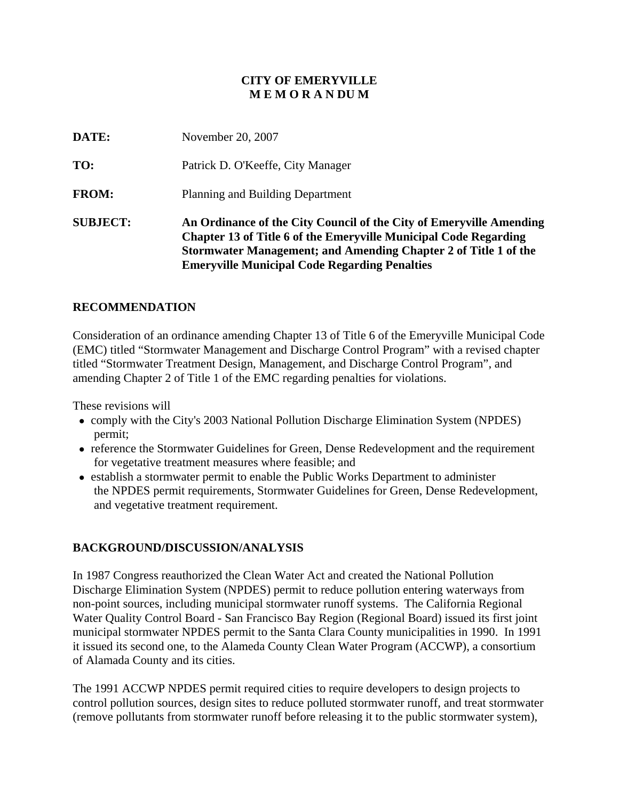#### **CITY OF EMERYVILLE M E M O R A N DU M**

| <b>SUBJECT:</b> | An Ordinance of the City Council of the City of Emeryville Amending<br><b>Chapter 13 of Title 6 of the Emeryville Municipal Code Regarding</b><br>Stormwater Management; and Amending Chapter 2 of Title 1 of the<br><b>Emeryville Municipal Code Regarding Penalties</b> |
|-----------------|---------------------------------------------------------------------------------------------------------------------------------------------------------------------------------------------------------------------------------------------------------------------------|
| <b>FROM:</b>    | Planning and Building Department                                                                                                                                                                                                                                          |
| TO:             | Patrick D. O'Keeffe, City Manager                                                                                                                                                                                                                                         |
| DATE:           | November 20, 2007                                                                                                                                                                                                                                                         |

#### **RECOMMENDATION**

Consideration of an ordinance amending Chapter 13 of Title 6 of the Emeryville Municipal Code (EMC) titled "Stormwater Management and Discharge Control Program" with a revised chapter titled "Stormwater Treatment Design, Management, and Discharge Control Program", and amending Chapter 2 of Title 1 of the EMC regarding penalties for violations.

These revisions will

- comply with the City's 2003 National Pollution Discharge Elimination System (NPDES) permit;
- reference the Stormwater Guidelines for Green, Dense Redevelopment and the requirement for vegetative treatment measures where feasible; and
- establish a stormwater permit to enable the Public Works Department to administer the NPDES permit requirements, Stormwater Guidelines for Green, Dense Redevelopment, and vegetative treatment requirement.

#### **BACKGROUND/DISCUSSION/ANALYSIS**

In 1987 Congress reauthorized the Clean Water Act and created the National Pollution Discharge Elimination System (NPDES) permit to reduce pollution entering waterways from non-point sources, including municipal stormwater runoff systems. The California Regional Water Quality Control Board - San Francisco Bay Region (Regional Board) issued its first joint municipal stormwater NPDES permit to the Santa Clara County municipalities in 1990. In 1991 it issued its second one, to the Alameda County Clean Water Program (ACCWP), a consortium of Alamada County and its cities.

The 1991 ACCWP NPDES permit required cities to require developers to design projects to control pollution sources, design sites to reduce polluted stormwater runoff, and treat stormwater (remove pollutants from stormwater runoff before releasing it to the public stormwater system),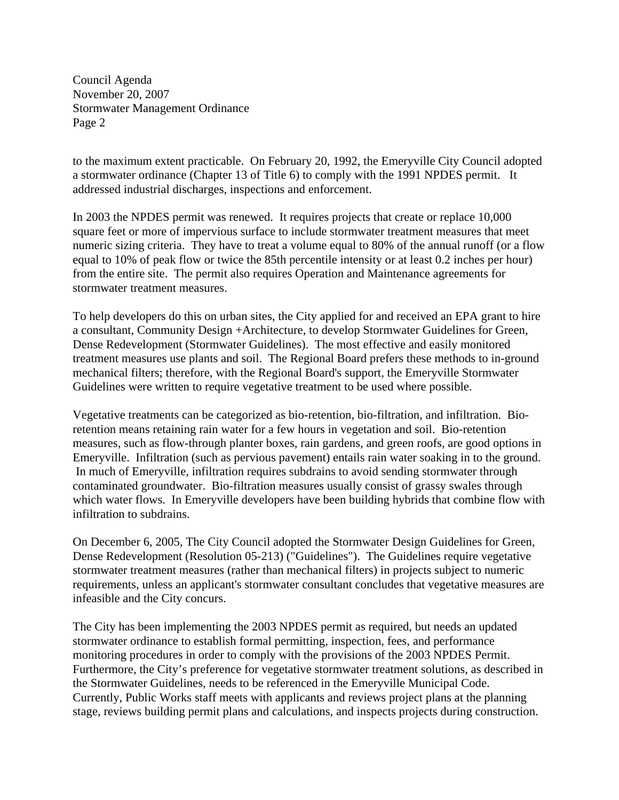Council Agenda November 20, 2007 Stormwater Management Ordinance Page 2

to the maximum extent practicable. On February 20, 1992, the Emeryville City Council adopted a stormwater ordinance (Chapter 13 of Title 6) to comply with the 1991 NPDES permit. It addressed industrial discharges, inspections and enforcement.

In 2003 the NPDES permit was renewed. It requires projects that create or replace 10,000 square feet or more of impervious surface to include stormwater treatment measures that meet numeric sizing criteria. They have to treat a volume equal to 80% of the annual runoff (or a flow equal to 10% of peak flow or twice the 85th percentile intensity or at least 0.2 inches per hour) from the entire site. The permit also requires Operation and Maintenance agreements for stormwater treatment measures.

To help developers do this on urban sites, the City applied for and received an EPA grant to hire a consultant, Community Design +Architecture, to develop Stormwater Guidelines for Green, Dense Redevelopment (Stormwater Guidelines). The most effective and easily monitored treatment measures use plants and soil. The Regional Board prefers these methods to in-ground mechanical filters; therefore, with the Regional Board's support, the Emeryville Stormwater Guidelines were written to require vegetative treatment to be used where possible.

Vegetative treatments can be categorized as bio-retention, bio-filtration, and infiltration. Bioretention means retaining rain water for a few hours in vegetation and soil. Bio-retention measures, such as flow-through planter boxes, rain gardens, and green roofs, are good options in Emeryville. Infiltration (such as pervious pavement) entails rain water soaking in to the ground. In much of Emeryville, infiltration requires subdrains to avoid sending stormwater through contaminated groundwater. Bio-filtration measures usually consist of grassy swales through which water flows. In Emeryville developers have been building hybrids that combine flow with infiltration to subdrains.

On December 6, 2005, The City Council adopted the Stormwater Design Guidelines for Green, Dense Redevelopment (Resolution 05-213) ("Guidelines"). The Guidelines require vegetative stormwater treatment measures (rather than mechanical filters) in projects subject to numeric requirements, unless an applicant's stormwater consultant concludes that vegetative measures are infeasible and the City concurs.

The City has been implementing the 2003 NPDES permit as required, but needs an updated stormwater ordinance to establish formal permitting, inspection, fees, and performance monitoring procedures in order to comply with the provisions of the 2003 NPDES Permit. Furthermore, the City's preference for vegetative stormwater treatment solutions, as described in the Stormwater Guidelines, needs to be referenced in the Emeryville Municipal Code. Currently, Public Works staff meets with applicants and reviews project plans at the planning stage, reviews building permit plans and calculations, and inspects projects during construction.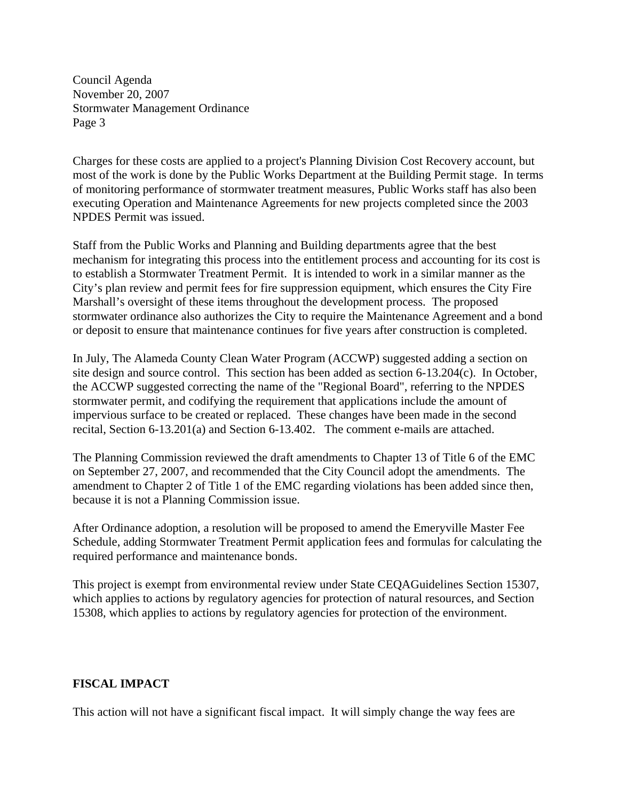Council Agenda November 20, 2007 Stormwater Management Ordinance Page 3

Charges for these costs are applied to a project's Planning Division Cost Recovery account, but most of the work is done by the Public Works Department at the Building Permit stage. In terms of monitoring performance of stormwater treatment measures, Public Works staff has also been executing Operation and Maintenance Agreements for new projects completed since the 2003 NPDES Permit was issued.

Staff from the Public Works and Planning and Building departments agree that the best mechanism for integrating this process into the entitlement process and accounting for its cost is to establish a Stormwater Treatment Permit. It is intended to work in a similar manner as the City's plan review and permit fees for fire suppression equipment, which ensures the City Fire Marshall's oversight of these items throughout the development process. The proposed stormwater ordinance also authorizes the City to require the Maintenance Agreement and a bond or deposit to ensure that maintenance continues for five years after construction is completed.

In July, The Alameda County Clean Water Program (ACCWP) suggested adding a section on site design and source control. This section has been added as section 6-13.204(c). In October, the ACCWP suggested correcting the name of the "Regional Board", referring to the NPDES stormwater permit, and codifying the requirement that applications include the amount of impervious surface to be created or replaced. These changes have been made in the second recital, Section 6-13.201(a) and Section 6-13.402. The comment e-mails are attached.

The Planning Commission reviewed the draft amendments to Chapter 13 of Title 6 of the EMC on September 27, 2007, and recommended that the City Council adopt the amendments. The amendment to Chapter 2 of Title 1 of the EMC regarding violations has been added since then, because it is not a Planning Commission issue.

After Ordinance adoption, a resolution will be proposed to amend the Emeryville Master Fee Schedule, adding Stormwater Treatment Permit application fees and formulas for calculating the required performance and maintenance bonds.

This project is exempt from environmental review under State CEQAGuidelines Section 15307, which applies to actions by regulatory agencies for protection of natural resources, and Section 15308, which applies to actions by regulatory agencies for protection of the environment.

#### **FISCAL IMPACT**

This action will not have a significant fiscal impact. It will simply change the way fees are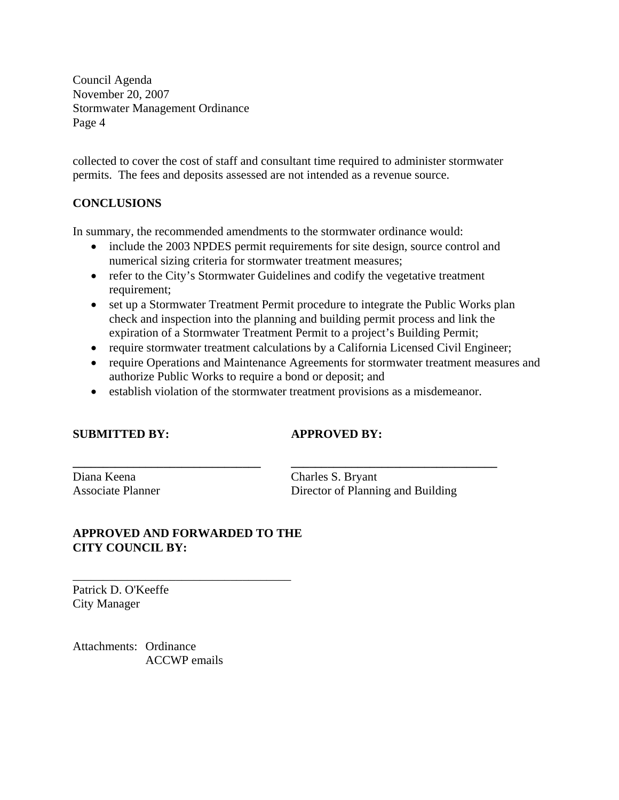Council Agenda November 20, 2007 Stormwater Management Ordinance Page 4

collected to cover the cost of staff and consultant time required to administer stormwater permits. The fees and deposits assessed are not intended as a revenue source.

#### **CONCLUSIONS**

In summary, the recommended amendments to the stormwater ordinance would:

- include the 2003 NPDES permit requirements for site design, source control and numerical sizing criteria for stormwater treatment measures;
- refer to the City's Stormwater Guidelines and codify the vegetative treatment requirement;
- set up a Stormwater Treatment Permit procedure to integrate the Public Works plan check and inspection into the planning and building permit process and link the expiration of a Stormwater Treatment Permit to a project's Building Permit;
- require stormwater treatment calculations by a California Licensed Civil Engineer;
- require Operations and Maintenance Agreements for stormwater treatment measures and authorize Public Works to require a bond or deposit; and
- establish violation of the stormwater treatment provisions as a misdemeanor.

**\_\_\_\_\_\_\_\_\_\_\_\_\_\_\_\_\_\_\_\_\_\_\_\_\_\_\_\_\_\_\_ \_\_\_\_\_\_\_\_\_\_\_\_\_\_\_\_\_\_\_\_\_\_\_\_\_\_\_\_\_\_\_\_\_\_** 

#### **SUBMITTED BY: APPROVED BY:**

Diana Keena Charles S. Bryant

Associate Planner Director of Planning and Building

#### **APPROVED AND FORWARDED TO THE CITY COUNCIL BY:**

\_\_\_\_\_\_\_\_\_\_\_\_\_\_\_\_\_\_\_\_\_\_\_\_\_\_\_\_\_\_\_\_\_\_\_\_

Patrick D. O'Keeffe City Manager

Attachments: Ordinance ACCWP emails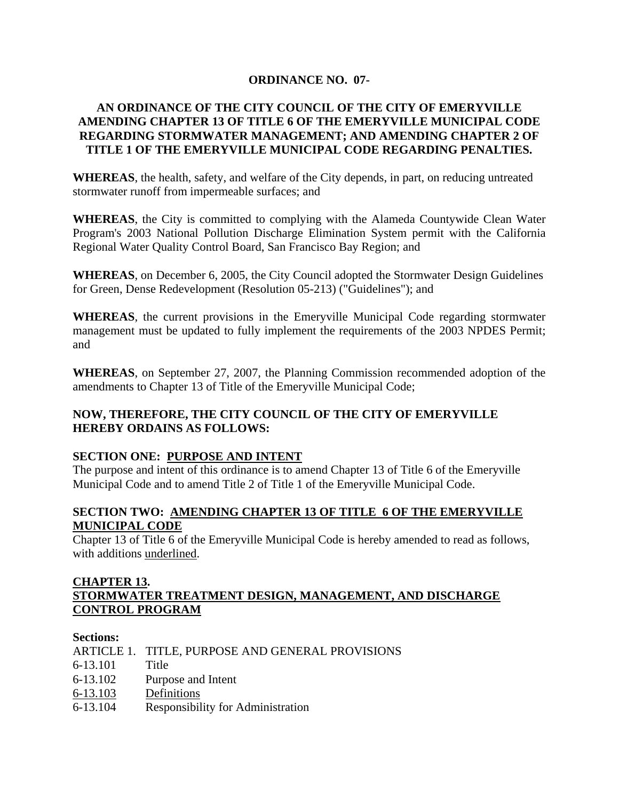#### **ORDINANCE NO. 07-**

#### **AN ORDINANCE OF THE CITY COUNCIL OF THE CITY OF EMERYVILLE AMENDING CHAPTER 13 OF TITLE 6 OF THE EMERYVILLE MUNICIPAL CODE REGARDING STORMWATER MANAGEMENT; AND AMENDING CHAPTER 2 OF TITLE 1 OF THE EMERYVILLE MUNICIPAL CODE REGARDING PENALTIES.**

**WHEREAS**, the health, safety, and welfare of the City depends, in part, on reducing untreated stormwater runoff from impermeable surfaces; and

**WHEREAS**, the City is committed to complying with the Alameda Countywide Clean Water Program's 2003 National Pollution Discharge Elimination System permit with the California Regional Water Quality Control Board, San Francisco Bay Region; and

**WHEREAS**, on December 6, 2005, the City Council adopted the Stormwater Design Guidelines for Green, Dense Redevelopment (Resolution 05-213) ("Guidelines"); and

**WHEREAS**, the current provisions in the Emeryville Municipal Code regarding stormwater management must be updated to fully implement the requirements of the 2003 NPDES Permit; and

**WHEREAS**, on September 27, 2007, the Planning Commission recommended adoption of the amendments to Chapter 13 of Title of the Emeryville Municipal Code;

#### **NOW, THEREFORE, THE CITY COUNCIL OF THE CITY OF EMERYVILLE HEREBY ORDAINS AS FOLLOWS:**

#### **SECTION ONE: PURPOSE AND INTENT**

The purpose and intent of this ordinance is to amend Chapter 13 of Title 6 of the Emeryville Municipal Code and to amend Title 2 of Title 1 of the Emeryville Municipal Code.

#### **SECTION TWO: AMENDING CHAPTER 13 OF TITLE 6 OF THE EMERYVILLE MUNICIPAL CODE**

Chapter 13 of Title 6 of the Emeryville Municipal Code is hereby amended to read as follows, with additions underlined.

#### **CHAPTER 13. STORMWATER TREATMENT DESIGN, MANAGEMENT, AND DISCHARGE CONTROL PROGRAM**

#### **Sections:**

|  | ARTICLE 1. TITLE, PURPOSE AND GENERAL PROVISIONS |
|--|--------------------------------------------------|
|--|--------------------------------------------------|

- 6-13.101 Title
- 6-13.102 Purpose and Intent
- 6-13.103 Definitions
- 6-13.104 Responsibility for Administration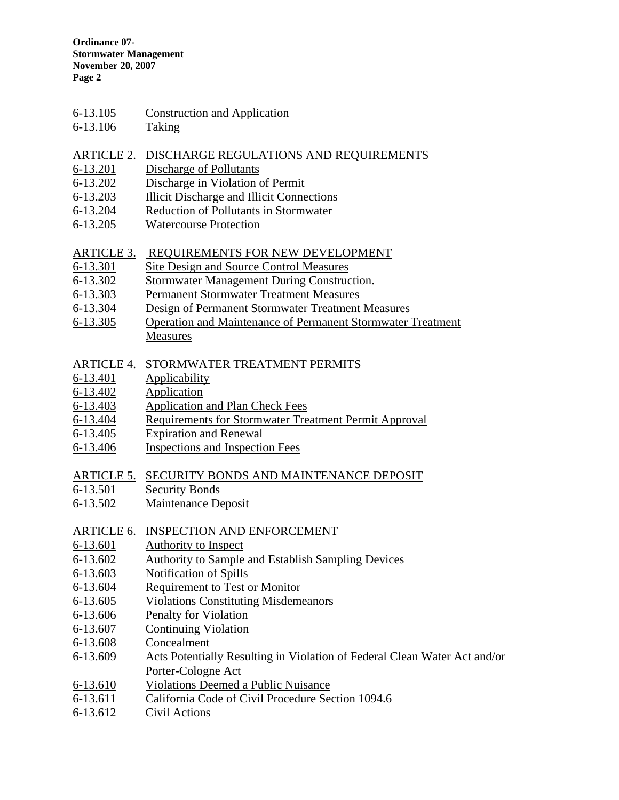- 6-13.105 Construction and Application
- 6-13.106 Taking

#### ARTICLE 2. DISCHARGE REGULATIONS AND REQUIREMENTS

- 6-13.201 Discharge of Pollutants
- 6-13.202 Discharge in Violation of Permit
- 6-13.203 Illicit Discharge and Illicit Connections
- 6-13.204 Reduction of Pollutants in Stormwater
- 6-13.205 Watercourse Protection

#### ARTICLE 3. REQUIREMENTS FOR NEW DEVELOPMENT

- 6-13.301 Site Design and Source Control Measures
- 6-13.302 Stormwater Management During Construction.
- 6-13.303 Permanent Stormwater Treatment Measures
- 6-13.304 Design of Permanent Stormwater Treatment Measures
- 6-13.305 Operation and Maintenance of Permanent Stormwater Treatment Measures

#### ARTICLE 4. STORMWATER TREATMENT PERMITS

- 6-13.401 Applicability
- 6-13.402 Application
- 6-13.403 Application and Plan Check Fees
- 6-13.404 Requirements for Stormwater Treatment Permit Approval
- 6-13.405 Expiration and Renewal<br>6-13.406 Inspections and Inspection
- 6-13.406 Inspections and Inspection Fees

#### ARTICLE 5. SECURITY BONDS AND MAINTENANCE DEPOSIT

- 6-13.501 Security Bonds
- 6-13.502 Maintenance Deposit
- ARTICLE 6. INSPECTION AND ENFORCEMENT
- 6-13.601 Authority to Inspect
- 6-13.602 Authority to Sample and Establish Sampling Devices
- 6-13.603 Notification of Spills
- 6-13.604 Requirement to Test or Monitor
- 6-13.605 Violations Constituting Misdemeanors
- 6-13.606 Penalty for Violation
- 6-13.607 Continuing Violation
- 6-13.608 Concealment
- 6-13.609 Acts Potentially Resulting in Violation of Federal Clean Water Act and/or Porter-Cologne Act
- 6-13.610 Violations Deemed a Public Nuisance
- 6-13.611 California Code of Civil Procedure Section 1094.6
- 6-13.612 Civil Actions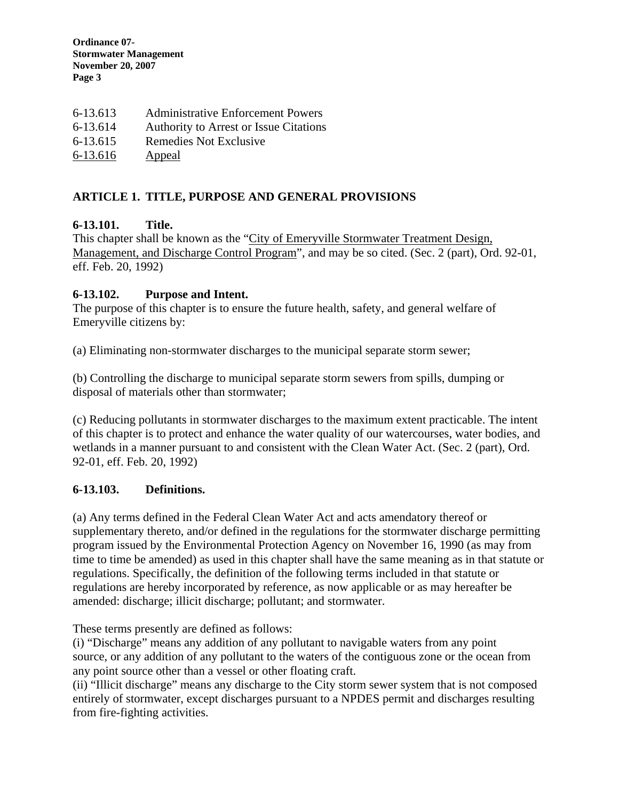| 6-13.613 | <b>Administrative Enforcement Powers</b>      |
|----------|-----------------------------------------------|
| 6-13.614 | <b>Authority to Arrest or Issue Citations</b> |
| 6-13.615 | Remedies Not Exclusive                        |
| 6-13.616 | <b>Appeal</b>                                 |

#### **ARTICLE 1. TITLE, PURPOSE AND GENERAL PROVISIONS**

#### **6-13.101. Title.**

This chapter shall be known as the "City of Emeryville Stormwater Treatment Design, Management, and Discharge Control Program", and may be so cited. (Sec. 2 (part), Ord. 92-01, eff. Feb. 20, 1992)

#### **6-13.102. Purpose and Intent.**

The purpose of this chapter is to ensure the future health, safety, and general welfare of Emeryville citizens by:

(a) Eliminating non-stormwater discharges to the municipal separate storm sewer;

(b) Controlling the discharge to municipal separate storm sewers from spills, dumping or disposal of materials other than stormwater;

(c) Reducing pollutants in stormwater discharges to the maximum extent practicable. The intent of this chapter is to protect and enhance the water quality of our watercourses, water bodies, and wetlands in a manner pursuant to and consistent with the Clean Water Act. (Sec. 2 (part), Ord. 92-01, eff. Feb. 20, 1992)

#### **6-13.103. Definitions.**

(a) Any terms defined in the Federal Clean Water Act and acts amendatory thereof or supplementary thereto, and/or defined in the regulations for the stormwater discharge permitting program issued by the Environmental Protection Agency on November 16, 1990 (as may from time to time be amended) as used in this chapter shall have the same meaning as in that statute or regulations. Specifically, the definition of the following terms included in that statute or regulations are hereby incorporated by reference, as now applicable or as may hereafter be amended: discharge; illicit discharge; pollutant; and stormwater.

These terms presently are defined as follows:

(i) "Discharge" means any addition of any pollutant to navigable waters from any point source, or any addition of any pollutant to the waters of the contiguous zone or the ocean from any point source other than a vessel or other floating craft.

(ii) "Illicit discharge" means any discharge to the City storm sewer system that is not composed entirely of stormwater, except discharges pursuant to a NPDES permit and discharges resulting from fire-fighting activities.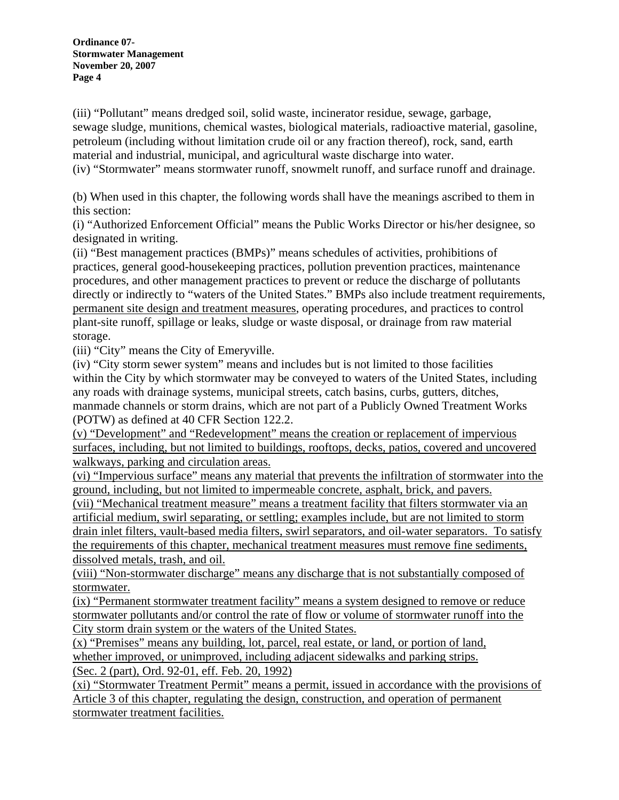(iii) "Pollutant" means dredged soil, solid waste, incinerator residue, sewage, garbage, sewage sludge, munitions, chemical wastes, biological materials, radioactive material, gasoline, petroleum (including without limitation crude oil or any fraction thereof), rock, sand, earth material and industrial, municipal, and agricultural waste discharge into water. (iv) "Stormwater" means stormwater runoff, snowmelt runoff, and surface runoff and drainage.

(b) When used in this chapter, the following words shall have the meanings ascribed to them in this section:

(i) "Authorized Enforcement Official" means the Public Works Director or his/her designee, so designated in writing.

(ii) "Best management practices (BMPs)" means schedules of activities, prohibitions of practices, general good-housekeeping practices, pollution prevention practices, maintenance procedures, and other management practices to prevent or reduce the discharge of pollutants directly or indirectly to "waters of the United States." BMPs also include treatment requirements, permanent site design and treatment measures, operating procedures, and practices to control plant-site runoff, spillage or leaks, sludge or waste disposal, or drainage from raw material storage.

(iii) "City" means the City of Emeryville.

(iv) "City storm sewer system" means and includes but is not limited to those facilities within the City by which stormwater may be conveyed to waters of the United States, including any roads with drainage systems, municipal streets, catch basins, curbs, gutters, ditches, manmade channels or storm drains, which are not part of a Publicly Owned Treatment Works (POTW) as defined at 40 CFR Section 122.2.

(v) "Development" and "Redevelopment" means the creation or replacement of impervious surfaces, including, but not limited to buildings, rooftops, decks, patios, covered and uncovered walkways, parking and circulation areas.

(vi) "Impervious surface" means any material that prevents the infiltration of stormwater into the ground, including, but not limited to impermeable concrete, asphalt, brick, and pavers.

(vii) "Mechanical treatment measure" means a treatment facility that filters stormwater via an artificial medium, swirl separating, or settling; examples include, but are not limited to storm drain inlet filters, vault-based media filters, swirl separators, and oil-water separators. To satisfy the requirements of this chapter, mechanical treatment measures must remove fine sediments, dissolved metals, trash, and oil.

(viii) "Non-stormwater discharge" means any discharge that is not substantially composed of stormwater.

(ix) "Permanent stormwater treatment facility" means a system designed to remove or reduce stormwater pollutants and/or control the rate of flow or volume of stormwater runoff into the City storm drain system or the waters of the United States.

(x) "Premises" means any building, lot, parcel, real estate, or land, or portion of land, whether improved, or unimproved, including adjacent sidewalks and parking strips. (Sec. 2 (part), Ord. 92-01, eff. Feb. 20, 1992)

(xi) "Stormwater Treatment Permit" means a permit, issued in accordance with the provisions of Article 3 of this chapter, regulating the design, construction, and operation of permanent stormwater treatment facilities.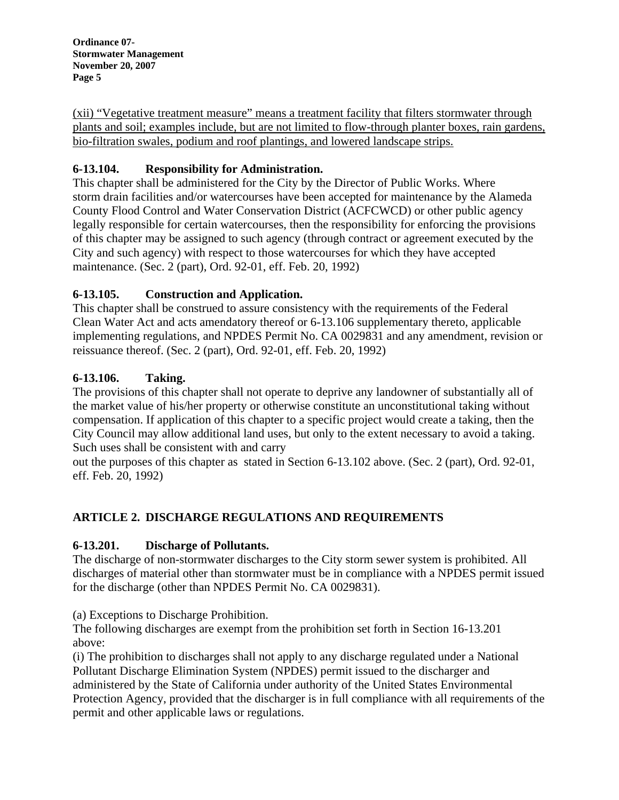(xii) "Vegetative treatment measure" means a treatment facility that filters stormwater through plants and soil; examples include, but are not limited to flow-through planter boxes, rain gardens, bio-filtration swales, podium and roof plantings, and lowered landscape strips.

## **6-13.104. Responsibility for Administration.**

This chapter shall be administered for the City by the Director of Public Works. Where storm drain facilities and/or watercourses have been accepted for maintenance by the Alameda County Flood Control and Water Conservation District (ACFCWCD) or other public agency legally responsible for certain watercourses, then the responsibility for enforcing the provisions of this chapter may be assigned to such agency (through contract or agreement executed by the City and such agency) with respect to those watercourses for which they have accepted maintenance. (Sec. 2 (part), Ord. 92-01, eff. Feb. 20, 1992)

## **6-13.105. Construction and Application.**

This chapter shall be construed to assure consistency with the requirements of the Federal Clean Water Act and acts amendatory thereof or 6-13.106 supplementary thereto, applicable implementing regulations, and NPDES Permit No. CA 0029831 and any amendment, revision or reissuance thereof. (Sec. 2 (part), Ord. 92-01, eff. Feb. 20, 1992)

## **6-13.106. Taking.**

The provisions of this chapter shall not operate to deprive any landowner of substantially all of the market value of his/her property or otherwise constitute an unconstitutional taking without compensation. If application of this chapter to a specific project would create a taking, then the City Council may allow additional land uses, but only to the extent necessary to avoid a taking. Such uses shall be consistent with and carry

out the purposes of this chapter as stated in Section 6-13.102 above. (Sec. 2 (part), Ord. 92-01, eff. Feb. 20, 1992)

# **ARTICLE 2. DISCHARGE REGULATIONS AND REQUIREMENTS**

# **6-13.201. Discharge of Pollutants.**

The discharge of non-stormwater discharges to the City storm sewer system is prohibited. All discharges of material other than stormwater must be in compliance with a NPDES permit issued for the discharge (other than NPDES Permit No. CA 0029831).

(a) Exceptions to Discharge Prohibition.

The following discharges are exempt from the prohibition set forth in Section 16-13.201 above:

(i) The prohibition to discharges shall not apply to any discharge regulated under a National Pollutant Discharge Elimination System (NPDES) permit issued to the discharger and administered by the State of California under authority of the United States Environmental Protection Agency, provided that the discharger is in full compliance with all requirements of the permit and other applicable laws or regulations.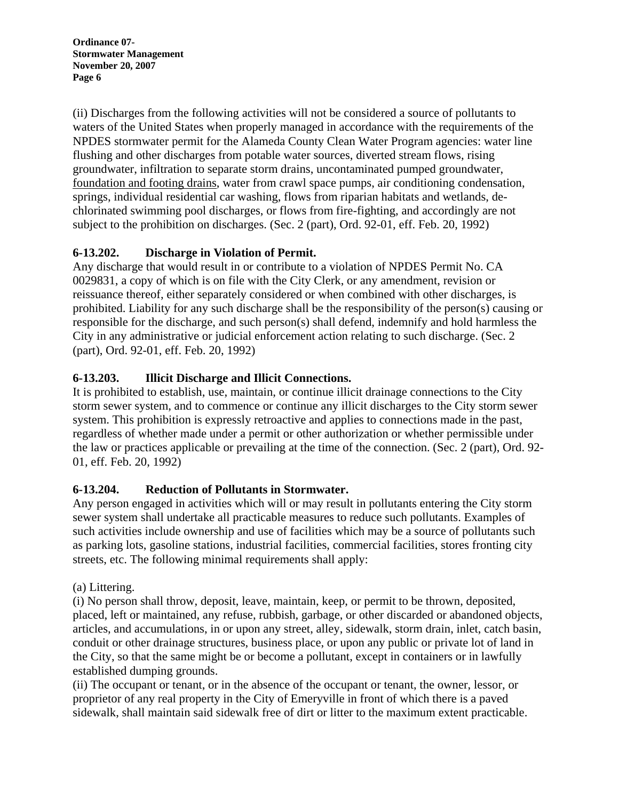(ii) Discharges from the following activities will not be considered a source of pollutants to waters of the United States when properly managed in accordance with the requirements of the NPDES stormwater permit for the Alameda County Clean Water Program agencies: water line flushing and other discharges from potable water sources, diverted stream flows, rising groundwater, infiltration to separate storm drains, uncontaminated pumped groundwater, foundation and footing drains, water from crawl space pumps, air conditioning condensation, springs, individual residential car washing, flows from riparian habitats and wetlands, dechlorinated swimming pool discharges, or flows from fire-fighting, and accordingly are not subject to the prohibition on discharges. (Sec. 2 (part), Ord. 92-01, eff. Feb. 20, 1992)

## **6-13.202. Discharge in Violation of Permit.**

Any discharge that would result in or contribute to a violation of NPDES Permit No. CA 0029831, a copy of which is on file with the City Clerk, or any amendment, revision or reissuance thereof, either separately considered or when combined with other discharges, is prohibited. Liability for any such discharge shall be the responsibility of the person(s) causing or responsible for the discharge, and such person(s) shall defend, indemnify and hold harmless the City in any administrative or judicial enforcement action relating to such discharge. (Sec. 2 (part), Ord. 92-01, eff. Feb. 20, 1992)

# **6-13.203. Illicit Discharge and Illicit Connections.**

It is prohibited to establish, use, maintain, or continue illicit drainage connections to the City storm sewer system, and to commence or continue any illicit discharges to the City storm sewer system. This prohibition is expressly retroactive and applies to connections made in the past, regardless of whether made under a permit or other authorization or whether permissible under the law or practices applicable or prevailing at the time of the connection. (Sec. 2 (part), Ord. 92- 01, eff. Feb. 20, 1992)

## **6-13.204. Reduction of Pollutants in Stormwater.**

Any person engaged in activities which will or may result in pollutants entering the City storm sewer system shall undertake all practicable measures to reduce such pollutants. Examples of such activities include ownership and use of facilities which may be a source of pollutants such as parking lots, gasoline stations, industrial facilities, commercial facilities, stores fronting city streets, etc. The following minimal requirements shall apply:

## (a) Littering.

(i) No person shall throw, deposit, leave, maintain, keep, or permit to be thrown, deposited, placed, left or maintained, any refuse, rubbish, garbage, or other discarded or abandoned objects, articles, and accumulations, in or upon any street, alley, sidewalk, storm drain, inlet, catch basin, conduit or other drainage structures, business place, or upon any public or private lot of land in the City, so that the same might be or become a pollutant, except in containers or in lawfully established dumping grounds.

(ii) The occupant or tenant, or in the absence of the occupant or tenant, the owner, lessor, or proprietor of any real property in the City of Emeryville in front of which there is a paved sidewalk, shall maintain said sidewalk free of dirt or litter to the maximum extent practicable.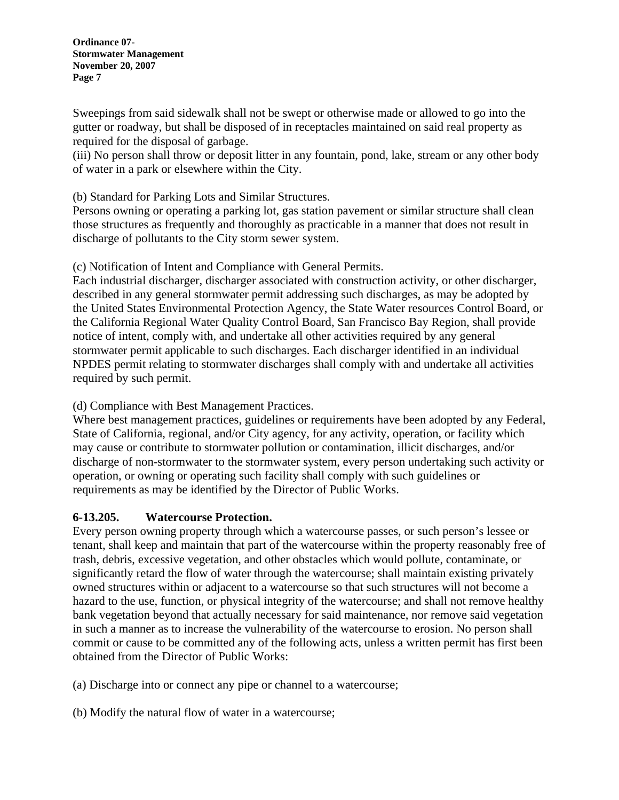Sweepings from said sidewalk shall not be swept or otherwise made or allowed to go into the gutter or roadway, but shall be disposed of in receptacles maintained on said real property as required for the disposal of garbage.

(iii) No person shall throw or deposit litter in any fountain, pond, lake, stream or any other body of water in a park or elsewhere within the City.

(b) Standard for Parking Lots and Similar Structures.

Persons owning or operating a parking lot, gas station pavement or similar structure shall clean those structures as frequently and thoroughly as practicable in a manner that does not result in discharge of pollutants to the City storm sewer system.

(c) Notification of Intent and Compliance with General Permits.

Each industrial discharger, discharger associated with construction activity, or other discharger, described in any general stormwater permit addressing such discharges, as may be adopted by the United States Environmental Protection Agency, the State Water resources Control Board, or the California Regional Water Quality Control Board, San Francisco Bay Region, shall provide notice of intent, comply with, and undertake all other activities required by any general stormwater permit applicable to such discharges. Each discharger identified in an individual NPDES permit relating to stormwater discharges shall comply with and undertake all activities required by such permit.

(d) Compliance with Best Management Practices.

Where best management practices, guidelines or requirements have been adopted by any Federal, State of California, regional, and/or City agency, for any activity, operation, or facility which may cause or contribute to stormwater pollution or contamination, illicit discharges, and/or discharge of non-stormwater to the stormwater system, every person undertaking such activity or operation, or owning or operating such facility shall comply with such guidelines or requirements as may be identified by the Director of Public Works.

#### **6-13.205. Watercourse Protection.**

Every person owning property through which a watercourse passes, or such person's lessee or tenant, shall keep and maintain that part of the watercourse within the property reasonably free of trash, debris, excessive vegetation, and other obstacles which would pollute, contaminate, or significantly retard the flow of water through the watercourse; shall maintain existing privately owned structures within or adjacent to a watercourse so that such structures will not become a hazard to the use, function, or physical integrity of the watercourse; and shall not remove healthy bank vegetation beyond that actually necessary for said maintenance, nor remove said vegetation in such a manner as to increase the vulnerability of the watercourse to erosion. No person shall commit or cause to be committed any of the following acts, unless a written permit has first been obtained from the Director of Public Works:

(a) Discharge into or connect any pipe or channel to a watercourse;

(b) Modify the natural flow of water in a watercourse;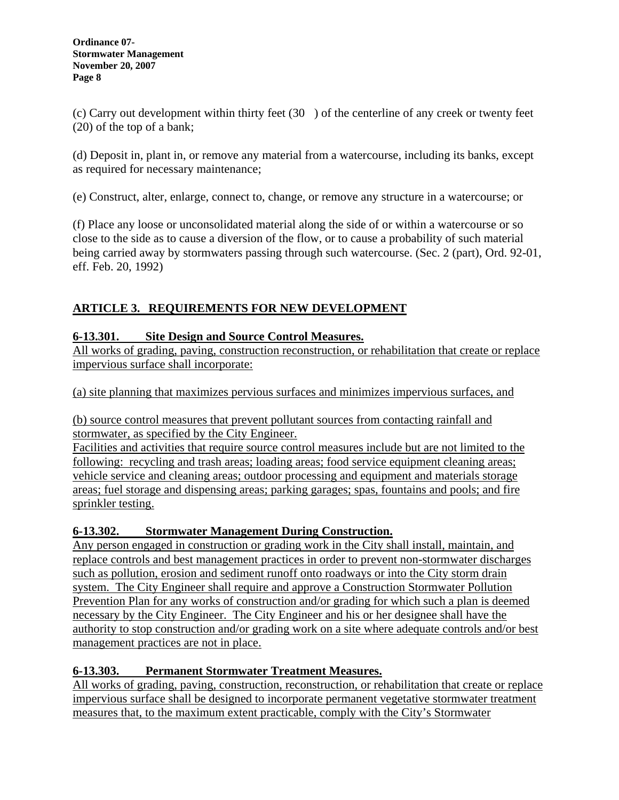(c) Carry out development within thirty feet (30) of the centerline of any creek or twenty feet (20) of the top of a bank;

(d) Deposit in, plant in, or remove any material from a watercourse, including its banks, except as required for necessary maintenance;

(e) Construct, alter, enlarge, connect to, change, or remove any structure in a watercourse; or

(f) Place any loose or unconsolidated material along the side of or within a watercourse or so close to the side as to cause a diversion of the flow, or to cause a probability of such material being carried away by stormwaters passing through such watercourse. (Sec. 2 (part), Ord. 92-01, eff. Feb. 20, 1992)

# **ARTICLE 3. REQUIREMENTS FOR NEW DEVELOPMENT**

## **6-13.301. Site Design and Source Control Measures.**

All works of grading, paving, construction reconstruction, or rehabilitation that create or replace impervious surface shall incorporate:

(a) site planning that maximizes pervious surfaces and minimizes impervious surfaces, and

(b) source control measures that prevent pollutant sources from contacting rainfall and stormwater, as specified by the City Engineer.

Facilities and activities that require source control measures include but are not limited to the following: recycling and trash areas; loading areas; food service equipment cleaning areas; vehicle service and cleaning areas; outdoor processing and equipment and materials storage areas; fuel storage and dispensing areas; parking garages; spas, fountains and pools; and fire sprinkler testing.

## **6-13.302. Stormwater Management During Construction.**

Any person engaged in construction or grading work in the City shall install, maintain, and replace controls and best management practices in order to prevent non-stormwater discharges such as pollution, erosion and sediment runoff onto roadways or into the City storm drain system. The City Engineer shall require and approve a Construction Stormwater Pollution Prevention Plan for any works of construction and/or grading for which such a plan is deemed necessary by the City Engineer. The City Engineer and his or her designee shall have the authority to stop construction and/or grading work on a site where adequate controls and/or best management practices are not in place.

## **6-13.303. Permanent Stormwater Treatment Measures.**

All works of grading, paving, construction, reconstruction, or rehabilitation that create or replace impervious surface shall be designed to incorporate permanent vegetative stormwater treatment measures that, to the maximum extent practicable, comply with the City's Stormwater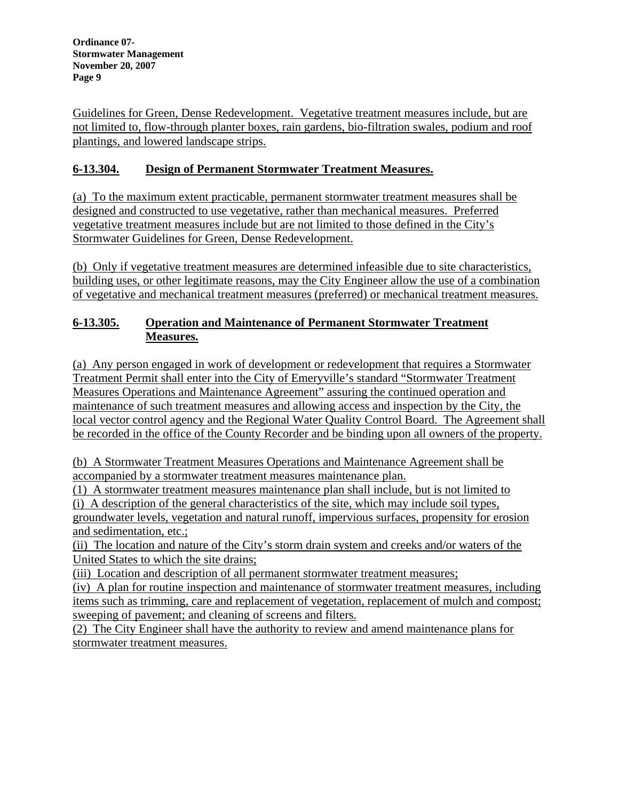Guidelines for Green, Dense Redevelopment. Vegetative treatment measures include, but are not limited to, flow-through planter boxes, rain gardens, bio-filtration swales, podium and roof plantings, and lowered landscape strips.

# **6-13.304. Design of Permanent Stormwater Treatment Measures.**

(a) To the maximum extent practicable, permanent stormwater treatment measures shall be designed and constructed to use vegetative, rather than mechanical measures. Preferred vegetative treatment measures include but are not limited to those defined in the City's Stormwater Guidelines for Green, Dense Redevelopment.

(b) Only if vegetative treatment measures are determined infeasible due to site characteristics, building uses, or other legitimate reasons, may the City Engineer allow the use of a combination of vegetative and mechanical treatment measures (preferred) or mechanical treatment measures.

## **6-13.305. Operation and Maintenance of Permanent Stormwater Treatment Measures.**

(a) Any person engaged in work of development or redevelopment that requires a Stormwater Treatment Permit shall enter into the City of Emeryville's standard "Stormwater Treatment Measures Operations and Maintenance Agreement" assuring the continued operation and maintenance of such treatment measures and allowing access and inspection by the City, the local vector control agency and the Regional Water Quality Control Board. The Agreement shall be recorded in the office of the County Recorder and be binding upon all owners of the property.

(b) A Stormwater Treatment Measures Operations and Maintenance Agreement shall be accompanied by a stormwater treatment measures maintenance plan.

(1) A stormwater treatment measures maintenance plan shall include, but is not limited to (i) A description of the general characteristics of the site, which may include soil types, groundwater levels, vegetation and natural runoff, impervious surfaces, propensity for erosion and sedimentation, etc.;

(ii) The location and nature of the City's storm drain system and creeks and/or waters of the United States to which the site drains;

(iii) Location and description of all permanent stormwater treatment measures;

(iv) A plan for routine inspection and maintenance of stormwater treatment measures, including items such as trimming, care and replacement of vegetation, replacement of mulch and compost; sweeping of pavement; and cleaning of screens and filters.

(2) The City Engineer shall have the authority to review and amend maintenance plans for stormwater treatment measures.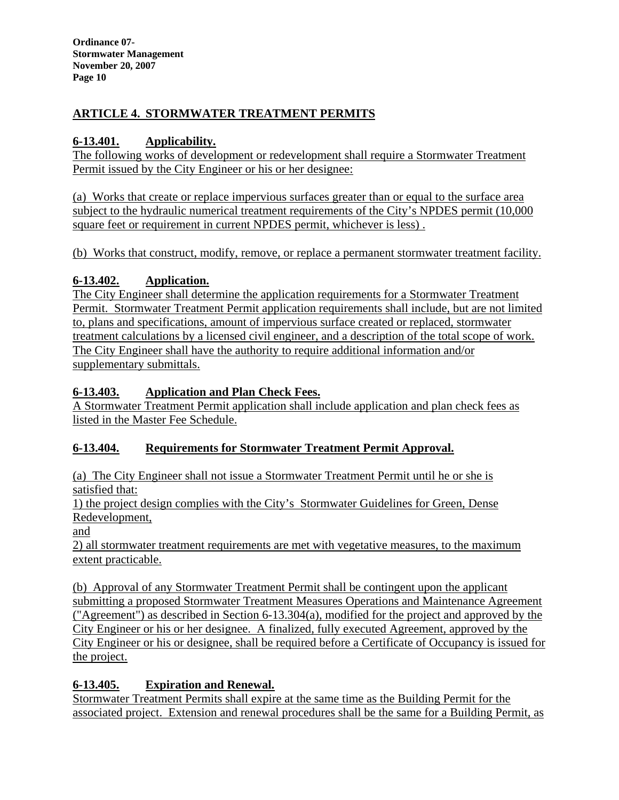# **ARTICLE 4. STORMWATER TREATMENT PERMITS**

# **6-13.401. Applicability.**

The following works of development or redevelopment shall require a Stormwater Treatment Permit issued by the City Engineer or his or her designee:

(a) Works that create or replace impervious surfaces greater than or equal to the surface area subject to the hydraulic numerical treatment requirements of the City's NPDES permit (10,000 square feet or requirement in current NPDES permit, whichever is less) .

(b) Works that construct, modify, remove, or replace a permanent stormwater treatment facility.

# **6-13.402. Application.**

The City Engineer shall determine the application requirements for a Stormwater Treatment Permit. Stormwater Treatment Permit application requirements shall include, but are not limited to, plans and specifications, amount of impervious surface created or replaced, stormwater treatment calculations by a licensed civil engineer, and a description of the total scope of work. The City Engineer shall have the authority to require additional information and/or supplementary submittals.

# **6-13.403. Application and Plan Check Fees.**

A Stormwater Treatment Permit application shall include application and plan check fees as listed in the Master Fee Schedule.

# **6-13.404. Requirements for Stormwater Treatment Permit Approval.**

(a) The City Engineer shall not issue a Stormwater Treatment Permit until he or she is satisfied that:

1) the project design complies with the City's Stormwater Guidelines for Green, Dense Redevelopment,

and

2) all stormwater treatment requirements are met with vegetative measures, to the maximum extent practicable.

(b) Approval of any Stormwater Treatment Permit shall be contingent upon the applicant submitting a proposed Stormwater Treatment Measures Operations and Maintenance Agreement ("Agreement") as described in Section 6-13.304(a), modified for the project and approved by the City Engineer or his or her designee. A finalized, fully executed Agreement, approved by the City Engineer or his or designee, shall be required before a Certificate of Occupancy is issued for the project.

# **6-13.405. Expiration and Renewal.**

Stormwater Treatment Permits shall expire at the same time as the Building Permit for the associated project. Extension and renewal procedures shall be the same for a Building Permit, as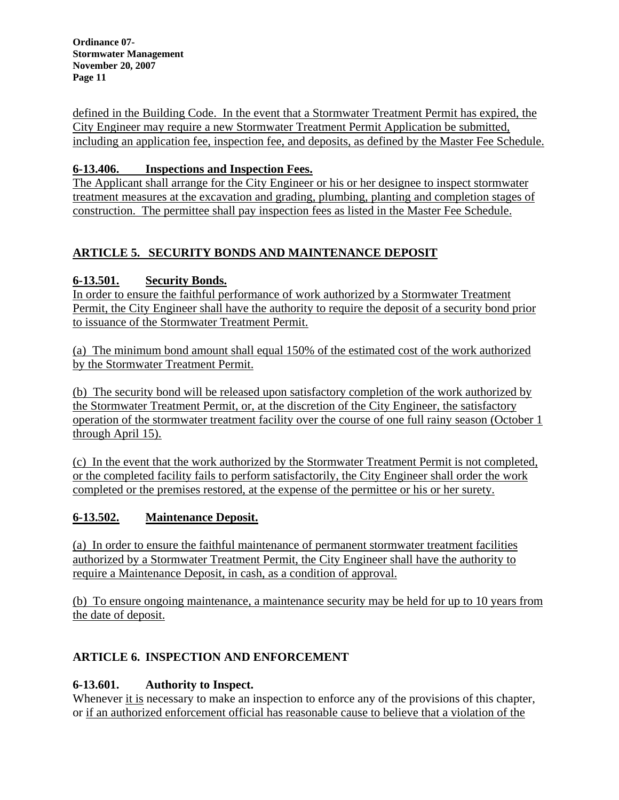defined in the Building Code. In the event that a Stormwater Treatment Permit has expired, the City Engineer may require a new Stormwater Treatment Permit Application be submitted, including an application fee, inspection fee, and deposits, as defined by the Master Fee Schedule.

## **6-13.406. Inspections and Inspection Fees.**

The Applicant shall arrange for the City Engineer or his or her designee to inspect stormwater treatment measures at the excavation and grading, plumbing, planting and completion stages of construction. The permittee shall pay inspection fees as listed in the Master Fee Schedule.

# **ARTICLE 5. SECURITY BONDS AND MAINTENANCE DEPOSIT**

# **6-13.501. Security Bonds.**

In order to ensure the faithful performance of work authorized by a Stormwater Treatment Permit, the City Engineer shall have the authority to require the deposit of a security bond prior to issuance of the Stormwater Treatment Permit.

(a) The minimum bond amount shall equal 150% of the estimated cost of the work authorized by the Stormwater Treatment Permit.

(b) The security bond will be released upon satisfactory completion of the work authorized by the Stormwater Treatment Permit, or, at the discretion of the City Engineer, the satisfactory operation of the stormwater treatment facility over the course of one full rainy season (October 1 through April 15).

(c) In the event that the work authorized by the Stormwater Treatment Permit is not completed, or the completed facility fails to perform satisfactorily, the City Engineer shall order the work completed or the premises restored, at the expense of the permittee or his or her surety.

# **6-13.502. Maintenance Deposit.**

(a) In order to ensure the faithful maintenance of permanent stormwater treatment facilities authorized by a Stormwater Treatment Permit, the City Engineer shall have the authority to require a Maintenance Deposit, in cash, as a condition of approval.

(b) To ensure ongoing maintenance, a maintenance security may be held for up to 10 years from the date of deposit.

# **ARTICLE 6. INSPECTION AND ENFORCEMENT**

## **6-13.601. Authority to Inspect.**

Whenever it is necessary to make an inspection to enforce any of the provisions of this chapter, or if an authorized enforcement official has reasonable cause to believe that a violation of the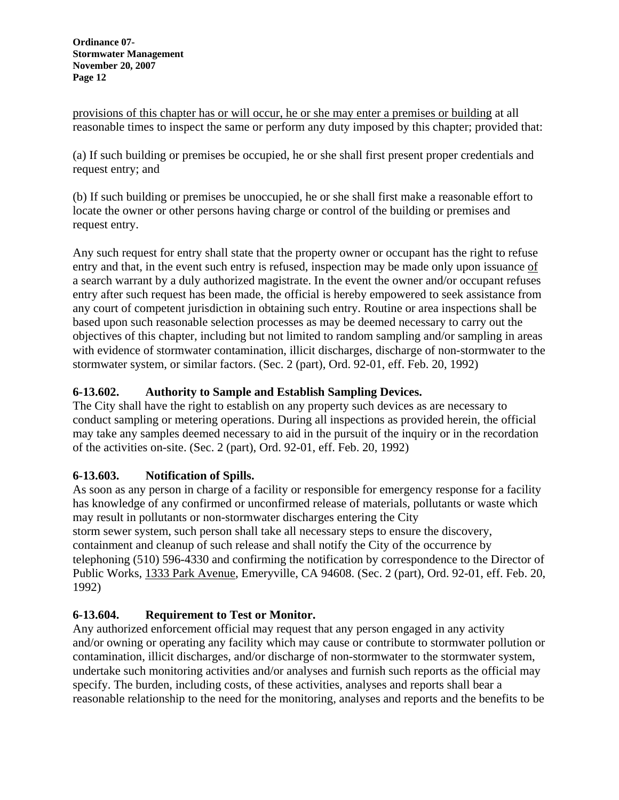provisions of this chapter has or will occur, he or she may enter a premises or building at all reasonable times to inspect the same or perform any duty imposed by this chapter; provided that:

(a) If such building or premises be occupied, he or she shall first present proper credentials and request entry; and

(b) If such building or premises be unoccupied, he or she shall first make a reasonable effort to locate the owner or other persons having charge or control of the building or premises and request entry.

Any such request for entry shall state that the property owner or occupant has the right to refuse entry and that, in the event such entry is refused, inspection may be made only upon issuance of a search warrant by a duly authorized magistrate. In the event the owner and/or occupant refuses entry after such request has been made, the official is hereby empowered to seek assistance from any court of competent jurisdiction in obtaining such entry. Routine or area inspections shall be based upon such reasonable selection processes as may be deemed necessary to carry out the objectives of this chapter, including but not limited to random sampling and/or sampling in areas with evidence of stormwater contamination, illicit discharges, discharge of non-stormwater to the stormwater system, or similar factors. (Sec. 2 (part), Ord. 92-01, eff. Feb. 20, 1992)

# **6-13.602. Authority to Sample and Establish Sampling Devices.**

The City shall have the right to establish on any property such devices as are necessary to conduct sampling or metering operations. During all inspections as provided herein, the official may take any samples deemed necessary to aid in the pursuit of the inquiry or in the recordation of the activities on-site. (Sec. 2 (part), Ord. 92-01, eff. Feb. 20, 1992)

## **6-13.603. Notification of Spills.**

As soon as any person in charge of a facility or responsible for emergency response for a facility has knowledge of any confirmed or unconfirmed release of materials, pollutants or waste which may result in pollutants or non-stormwater discharges entering the City storm sewer system, such person shall take all necessary steps to ensure the discovery, containment and cleanup of such release and shall notify the City of the occurrence by telephoning (510) 596-4330 and confirming the notification by correspondence to the Director of Public Works, 1333 Park Avenue, Emeryville, CA 94608. (Sec. 2 (part), Ord. 92-01, eff. Feb. 20, 1992)

## **6-13.604. Requirement to Test or Monitor.**

Any authorized enforcement official may request that any person engaged in any activity and/or owning or operating any facility which may cause or contribute to stormwater pollution or contamination, illicit discharges, and/or discharge of non-stormwater to the stormwater system, undertake such monitoring activities and/or analyses and furnish such reports as the official may specify. The burden, including costs, of these activities, analyses and reports shall bear a reasonable relationship to the need for the monitoring, analyses and reports and the benefits to be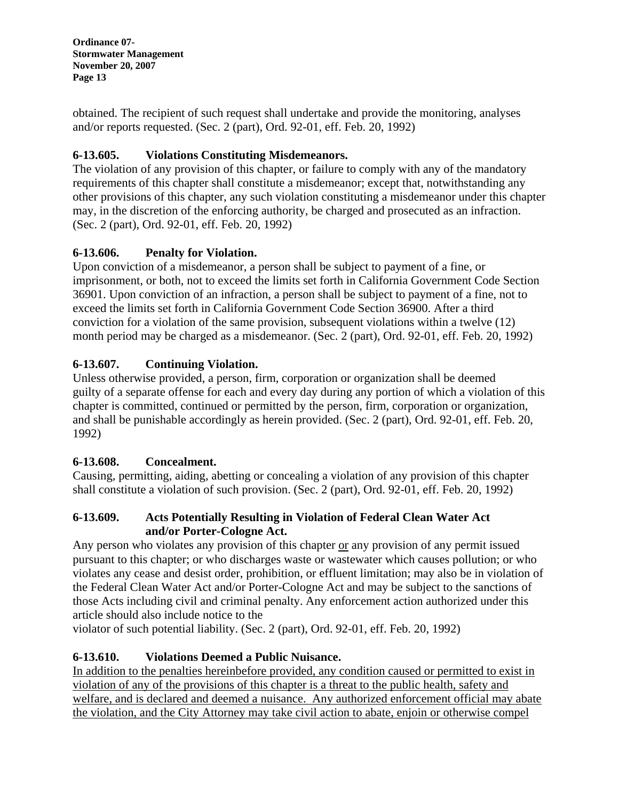obtained. The recipient of such request shall undertake and provide the monitoring, analyses and/or reports requested. (Sec. 2 (part), Ord. 92-01, eff. Feb. 20, 1992)

## **6-13.605. Violations Constituting Misdemeanors.**

The violation of any provision of this chapter, or failure to comply with any of the mandatory requirements of this chapter shall constitute a misdemeanor; except that, notwithstanding any other provisions of this chapter, any such violation constituting a misdemeanor under this chapter may, in the discretion of the enforcing authority, be charged and prosecuted as an infraction. (Sec. 2 (part), Ord. 92-01, eff. Feb. 20, 1992)

## **6-13.606. Penalty for Violation.**

Upon conviction of a misdemeanor, a person shall be subject to payment of a fine, or imprisonment, or both, not to exceed the limits set forth in California Government Code Section 36901. Upon conviction of an infraction, a person shall be subject to payment of a fine, not to exceed the limits set forth in California Government Code Section 36900. After a third conviction for a violation of the same provision, subsequent violations within a twelve (12) month period may be charged as a misdemeanor. (Sec. 2 (part), Ord. 92-01, eff. Feb. 20, 1992)

# **6-13.607. Continuing Violation.**

Unless otherwise provided, a person, firm, corporation or organization shall be deemed guilty of a separate offense for each and every day during any portion of which a violation of this chapter is committed, continued or permitted by the person, firm, corporation or organization, and shall be punishable accordingly as herein provided. (Sec. 2 (part), Ord. 92-01, eff. Feb. 20, 1992)

## **6-13.608. Concealment.**

Causing, permitting, aiding, abetting or concealing a violation of any provision of this chapter shall constitute a violation of such provision. (Sec. 2 (part), Ord. 92-01, eff. Feb. 20, 1992)

## **6-13.609. Acts Potentially Resulting in Violation of Federal Clean Water Act and/or Porter-Cologne Act.**

Any person who violates any provision of this chapter or any provision of any permit issued pursuant to this chapter; or who discharges waste or wastewater which causes pollution; or who violates any cease and desist order, prohibition, or effluent limitation; may also be in violation of the Federal Clean Water Act and/or Porter-Cologne Act and may be subject to the sanctions of those Acts including civil and criminal penalty. Any enforcement action authorized under this article should also include notice to the

violator of such potential liability. (Sec. 2 (part), Ord. 92-01, eff. Feb. 20, 1992)

# **6-13.610. Violations Deemed a Public Nuisance.**

In addition to the penalties hereinbefore provided, any condition caused or permitted to exist in violation of any of the provisions of this chapter is a threat to the public health, safety and welfare, and is declared and deemed a nuisance. Any authorized enforcement official may abate the violation, and the City Attorney may take civil action to abate, enjoin or otherwise compel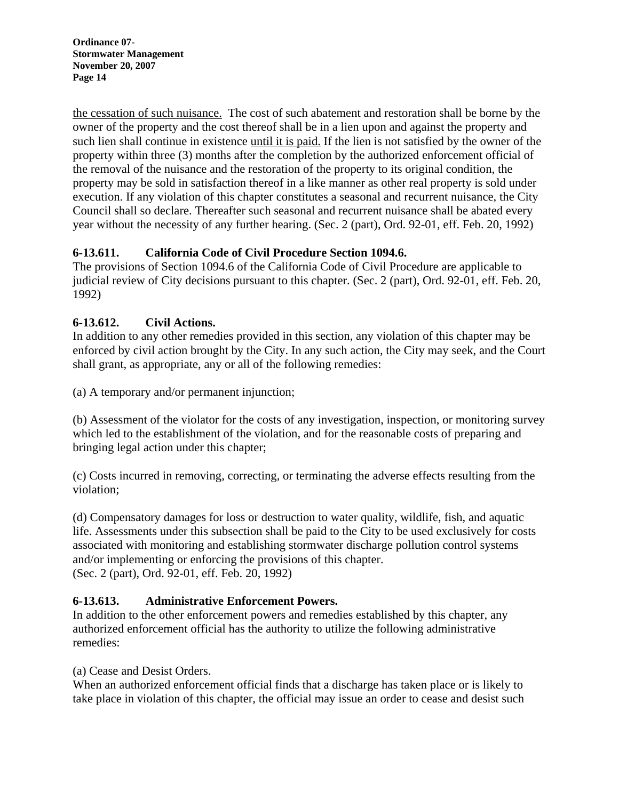the cessation of such nuisance. The cost of such abatement and restoration shall be borne by the owner of the property and the cost thereof shall be in a lien upon and against the property and such lien shall continue in existence until it is paid. If the lien is not satisfied by the owner of the property within three (3) months after the completion by the authorized enforcement official of the removal of the nuisance and the restoration of the property to its original condition, the property may be sold in satisfaction thereof in a like manner as other real property is sold under execution. If any violation of this chapter constitutes a seasonal and recurrent nuisance, the City Council shall so declare. Thereafter such seasonal and recurrent nuisance shall be abated every year without the necessity of any further hearing. (Sec. 2 (part), Ord. 92-01, eff. Feb. 20, 1992)

## **6-13.611. California Code of Civil Procedure Section 1094.6.**

The provisions of Section 1094.6 of the California Code of Civil Procedure are applicable to judicial review of City decisions pursuant to this chapter. (Sec. 2 (part), Ord. 92-01, eff. Feb. 20, 1992)

# **6-13.612. Civil Actions.**

In addition to any other remedies provided in this section, any violation of this chapter may be enforced by civil action brought by the City. In any such action, the City may seek, and the Court shall grant, as appropriate, any or all of the following remedies:

(a) A temporary and/or permanent injunction;

(b) Assessment of the violator for the costs of any investigation, inspection, or monitoring survey which led to the establishment of the violation, and for the reasonable costs of preparing and bringing legal action under this chapter;

(c) Costs incurred in removing, correcting, or terminating the adverse effects resulting from the violation;

(d) Compensatory damages for loss or destruction to water quality, wildlife, fish, and aquatic life. Assessments under this subsection shall be paid to the City to be used exclusively for costs associated with monitoring and establishing stormwater discharge pollution control systems and/or implementing or enforcing the provisions of this chapter. (Sec. 2 (part), Ord. 92-01, eff. Feb. 20, 1992)

## **6-13.613. Administrative Enforcement Powers.**

In addition to the other enforcement powers and remedies established by this chapter, any authorized enforcement official has the authority to utilize the following administrative remedies:

(a) Cease and Desist Orders.

When an authorized enforcement official finds that a discharge has taken place or is likely to take place in violation of this chapter, the official may issue an order to cease and desist such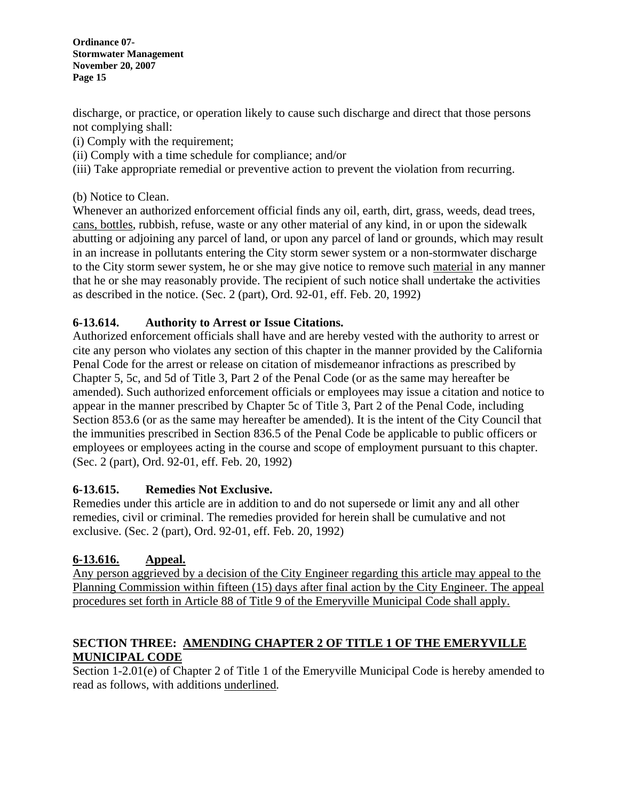discharge, or practice, or operation likely to cause such discharge and direct that those persons not complying shall:

- (i) Comply with the requirement;
- (ii) Comply with a time schedule for compliance; and/or
- (iii) Take appropriate remedial or preventive action to prevent the violation from recurring.

(b) Notice to Clean.

Whenever an authorized enforcement official finds any oil, earth, dirt, grass, weeds, dead trees, cans, bottles, rubbish, refuse, waste or any other material of any kind, in or upon the sidewalk abutting or adjoining any parcel of land, or upon any parcel of land or grounds, which may result in an increase in pollutants entering the City storm sewer system or a non-stormwater discharge to the City storm sewer system, he or she may give notice to remove such material in any manner that he or she may reasonably provide. The recipient of such notice shall undertake the activities as described in the notice. (Sec. 2 (part), Ord. 92-01, eff. Feb. 20, 1992)

## **6-13.614. Authority to Arrest or Issue Citations.**

Authorized enforcement officials shall have and are hereby vested with the authority to arrest or cite any person who violates any section of this chapter in the manner provided by the California Penal Code for the arrest or release on citation of misdemeanor infractions as prescribed by Chapter 5, 5c, and 5d of Title 3, Part 2 of the Penal Code (or as the same may hereafter be amended). Such authorized enforcement officials or employees may issue a citation and notice to appear in the manner prescribed by Chapter 5c of Title 3, Part 2 of the Penal Code, including Section 853.6 (or as the same may hereafter be amended). It is the intent of the City Council that the immunities prescribed in Section 836.5 of the Penal Code be applicable to public officers or employees or employees acting in the course and scope of employment pursuant to this chapter. (Sec. 2 (part), Ord. 92-01, eff. Feb. 20, 1992)

## **6-13.615. Remedies Not Exclusive.**

Remedies under this article are in addition to and do not supersede or limit any and all other remedies, civil or criminal. The remedies provided for herein shall be cumulative and not exclusive. (Sec. 2 (part), Ord. 92-01, eff. Feb. 20, 1992)

## **6-13.616. Appeal.**

Any person aggrieved by a decision of the City Engineer regarding this article may appeal to the Planning Commission within fifteen (15) days after final action by the City Engineer. The appeal procedures set forth in Article 88 of Title 9 of the Emeryville Municipal Code shall apply.

#### **SECTION THREE: AMENDING CHAPTER 2 OF TITLE 1 OF THE EMERYVILLE MUNICIPAL CODE**

Section 1-2.01(e) of Chapter 2 of Title 1 of the Emeryville Municipal Code is hereby amended to read as follows, with additions underlined.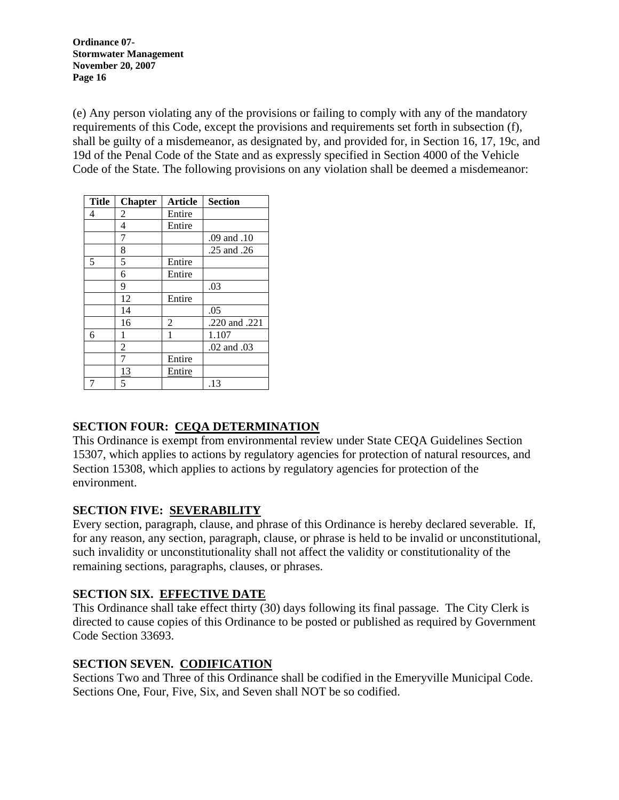(e) Any person violating any of the provisions or failing to comply with any of the mandatory requirements of this Code, except the provisions and requirements set forth in subsection (f), shall be guilty of a misdemeanor, as designated by, and provided for, in Section 16, 17, 19c, and 19d of the Penal Code of the State and as expressly specified in Section 4000 of the Vehicle Code of the State. The following provisions on any violation shall be deemed a misdemeanor:

| <b>Title</b> | <b>Chapter</b> | <b>Article</b> | <b>Section</b> |
|--------------|----------------|----------------|----------------|
| 4            | 2              | Entire         |                |
|              | 4              | Entire         |                |
|              | 7              |                | .09 and .10    |
|              | 8              |                | .25 and .26    |
| 5            | 5              | Entire         |                |
|              | 6              | Entire         |                |
|              | 9              |                | .03            |
|              | 12             | Entire         |                |
|              | 14             |                | .05            |
|              | 16             | $\overline{c}$ | .220 and .221  |
| 6            | 1              | 1              | 1.107          |
|              | $\overline{c}$ |                | .02 and .03    |
|              | 7              | Entire         |                |
|              | <u>13</u>      | Entire         |                |
|              | 5              |                | .13            |

#### **SECTION FOUR: CEQA DETERMINATION**

This Ordinance is exempt from environmental review under State CEQA Guidelines Section 15307, which applies to actions by regulatory agencies for protection of natural resources, and Section 15308, which applies to actions by regulatory agencies for protection of the environment.

#### **SECTION FIVE: SEVERABILITY**

Every section, paragraph, clause, and phrase of this Ordinance is hereby declared severable. If, for any reason, any section, paragraph, clause, or phrase is held to be invalid or unconstitutional, such invalidity or unconstitutionality shall not affect the validity or constitutionality of the remaining sections, paragraphs, clauses, or phrases.

## **SECTION SIX. EFFECTIVE DATE**

This Ordinance shall take effect thirty (30) days following its final passage. The City Clerk is directed to cause copies of this Ordinance to be posted or published as required by Government Code Section 33693.

## **SECTION SEVEN. CODIFICATION**

Sections Two and Three of this Ordinance shall be codified in the Emeryville Municipal Code. Sections One, Four, Five, Six, and Seven shall NOT be so codified.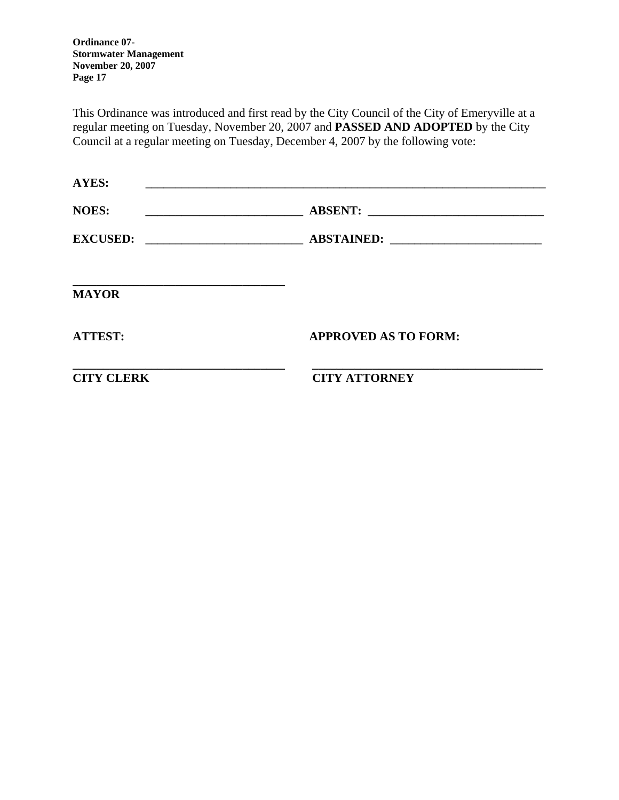This Ordinance was introduced and first read by the City Council of the City of Emeryville at a regular meeting on Tuesday, November 20, 2007 and **PASSED AND ADOPTED** by the City Council at a regular meeting on Tuesday, December 4, 2007 by the following vote:

| <b>MAYOR</b>   |                             |
|----------------|-----------------------------|
| <b>ATTEST:</b> | <b>APPROVED AS TO FORM:</b> |
|                |                             |